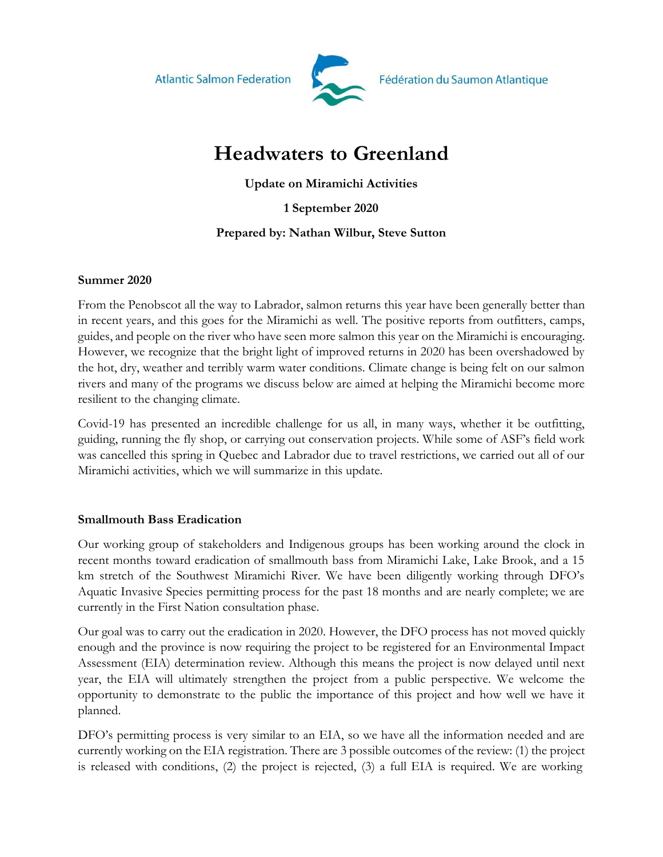**Atlantic Salmon Federation** 



# **Headwaters to Greenland**

**Update on Miramichi Activities** 

**1 September 2020**

# **Prepared by: Nathan Wilbur, Steve Sutton**

## **Summer 2020**

From the Penobscot all the way to Labrador, salmon returns this year have been generally better than in recent years, and this goes for the Miramichi as well. The positive reports from outfitters, camps, guides, and people on the river who have seen more salmon this year on the Miramichi is encouraging. However, we recognize that the bright light of improved returns in 2020 has been overshadowed by the hot, dry, weather and terribly warm water conditions. Climate change is being felt on our salmon rivers and many of the programs we discuss below are aimed at helping the Miramichi become more resilient to the changing climate.

Covid-19 has presented an incredible challenge for us all, in many ways, whether it be outfitting, guiding, running the fly shop, or carrying out conservation projects. While some of ASF's field work was cancelled this spring in Quebec and Labrador due to travel restrictions, we carried out all of our Miramichi activities, which we will summarize in this update.

# **Smallmouth Bass Eradication**

Our working group of stakeholders and Indigenous groups has been working around the clock in recent months toward eradication of smallmouth bass from Miramichi Lake, Lake Brook, and a 15 km stretch of the Southwest Miramichi River. We have been diligently working through DFO's Aquatic Invasive Species permitting process for the past 18 months and are nearly complete; we are currently in the First Nation consultation phase.

Our goal was to carry out the eradication in 2020. However, the DFO process has not moved quickly enough and the province is now requiring the project to be registered for an Environmental Impact Assessment (EIA) determination review. Although this means the project is now delayed until next year, the EIA will ultimately strengthen the project from a public perspective. We welcome the opportunity to demonstrate to the public the importance of this project and how well we have it planned.

DFO's permitting process is very similar to an EIA, so we have all the information needed and are currently working on the EIA registration. There are 3 possible outcomes of the review: (1) the project is released with conditions, (2) the project is rejected, (3) a full EIA is required. We are working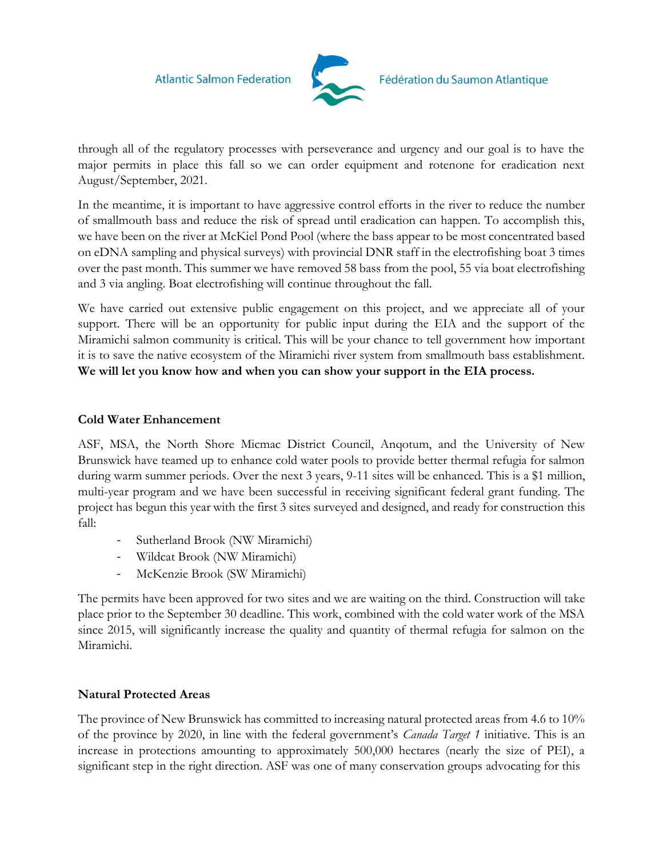

through all of the regulatory processes with perseverance and urgency and our goal is to have the major permits in place this fall so we can order equipment and rotenone for eradication next August/September, 2021.

In the meantime, it is important to have aggressive control efforts in the river to reduce the number of smallmouth bass and reduce the risk of spread until eradication can happen. To accomplish this, we have been on the river at McKiel Pond Pool (where the bass appear to be most concentrated based on eDNA sampling and physical surveys) with provincial DNR staff in the electrofishing boat 3 times over the past month. This summer we have removed 58 bass from the pool, 55 via boat electrofishing and 3 via angling. Boat electrofishing will continue throughout the fall.

We have carried out extensive public engagement on this project, and we appreciate all of your support. There will be an opportunity for public input during the EIA and the support of the Miramichi salmon community is critical. This will be your chance to tell government how important it is to save the native ecosystem of the Miramichi river system from smallmouth bass establishment. **We will let you know how and when you can show your support in the EIA process.**

#### **Cold Water Enhancement**

ASF, MSA, the North Shore Micmac District Council, Anqotum, and the University of New Brunswick have teamed up to enhance cold water pools to provide better thermal refugia for salmon during warm summer periods. Over the next 3 years, 9-11 sites will be enhanced. This is a \$1 million, multi-year program and we have been successful in receiving significant federal grant funding. The project has begun this year with the first 3 sites surveyed and designed, and ready for construction this fall:

- Sutherland Brook (NW Miramichi)
- Wildcat Brook (NW Miramichi)
- McKenzie Brook (SW Miramichi)

The permits have been approved for two sites and we are waiting on the third. Construction will take place prior to the September 30 deadline. This work, combined with the cold water work of the MSA since 2015, will significantly increase the quality and quantity of thermal refugia for salmon on the Miramichi.

# **Natural Protected Areas**

The province of New Brunswick has committed to increasing natural protected areas from 4.6 to 10% of the province by 2020, in line with the federal government's *Canada Target 1* initiative. This is an increase in protections amounting to approximately 500,000 hectares (nearly the size of PEI), a significant step in the right direction. ASF was one of many conservation groups advocating for this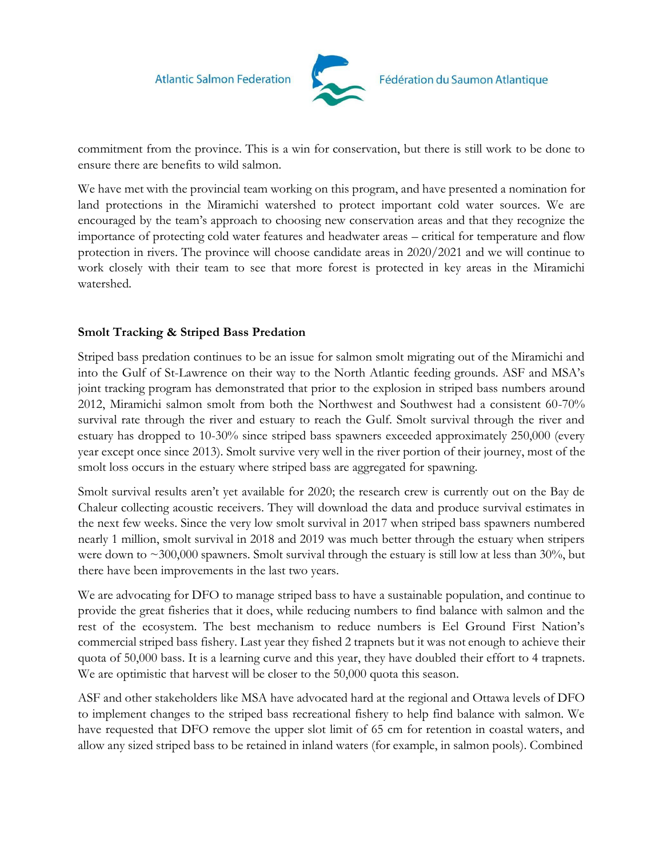

commitment from the province. This is a win for conservation, but there is still work to be done to ensure there are benefits to wild salmon.

We have met with the provincial team working on this program, and have presented a nomination for land protections in the Miramichi watershed to protect important cold water sources. We are encouraged by the team's approach to choosing new conservation areas and that they recognize the importance of protecting cold water features and headwater areas – critical for temperature and flow protection in rivers. The province will choose candidate areas in 2020/2021 and we will continue to work closely with their team to see that more forest is protected in key areas in the Miramichi watershed.

## **Smolt Tracking & Striped Bass Predation**

Striped bass predation continues to be an issue for salmon smolt migrating out of the Miramichi and into the Gulf of St-Lawrence on their way to the North Atlantic feeding grounds. ASF and MSA's joint tracking program has demonstrated that prior to the explosion in striped bass numbers around 2012, Miramichi salmon smolt from both the Northwest and Southwest had a consistent 60-70% survival rate through the river and estuary to reach the Gulf. Smolt survival through the river and estuary has dropped to 10-30% since striped bass spawners exceeded approximately 250,000 (every year except once since 2013). Smolt survive very well in the river portion of their journey, most of the smolt loss occurs in the estuary where striped bass are aggregated for spawning.

Smolt survival results aren't yet available for 2020; the research crew is currently out on the Bay de Chaleur collecting acoustic receivers. They will download the data and produce survival estimates in the next few weeks. Since the very low smolt survival in 2017 when striped bass spawners numbered nearly 1 million, smolt survival in 2018 and 2019 was much better through the estuary when stripers were down to  $\sim$ 300,000 spawners. Smolt survival through the estuary is still low at less than 30%, but there have been improvements in the last two years.

We are advocating for DFO to manage striped bass to have a sustainable population, and continue to provide the great fisheries that it does, while reducing numbers to find balance with salmon and the rest of the ecosystem. The best mechanism to reduce numbers is Eel Ground First Nation's commercial striped bass fishery. Last year they fished 2 trapnets but it was not enough to achieve their quota of 50,000 bass. It is a learning curve and this year, they have doubled their effort to 4 trapnets. We are optimistic that harvest will be closer to the 50,000 quota this season.

ASF and other stakeholders like MSA have advocated hard at the regional and Ottawa levels of DFO to implement changes to the striped bass recreational fishery to help find balance with salmon. We have requested that DFO remove the upper slot limit of 65 cm for retention in coastal waters, and allow any sized striped bass to be retained in inland waters (for example, in salmon pools). Combined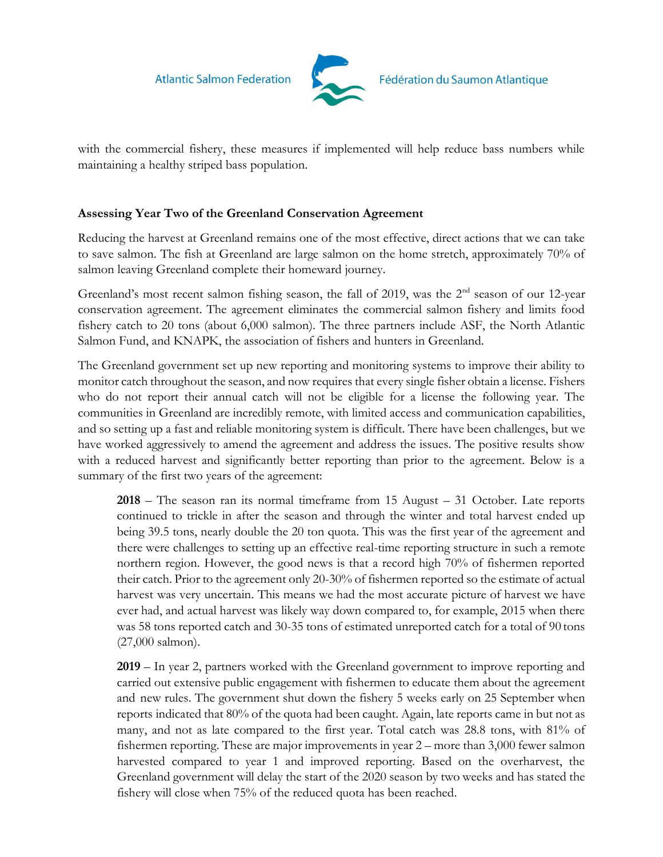**Atlantic Salmon Federation** 



with the commercial fishery, these measures if implemented will help reduce bass numbers while maintaining a healthy striped bass population.

## **Assessing Year Two of the Greenland Conservation Agreement**

Reducing the harvest at Greenland remains one of the most effective, direct actions that we can take to save salmon. The fish at Greenland are large salmon on the home stretch, approximately 70% of salmon leaving Greenland complete their homeward journey.

Greenland's most recent salmon fishing season, the fall of 2019, was the 2<sup>nd</sup> season of our 12-year conservation agreement. The agreement eliminates the commercial salmon fishery and limits food fishery catch to 20 tons (about 6,000 salmon). The three partners include ASF, the North Atlantic Salmon Fund, and KNAPK, the association of fishers and hunters in Greenland.

The Greenland government set up new reporting and monitoring systems to improve their ability to monitor catch throughout the season, and now requires that every single fisher obtain a license. Fishers who do not report their annual catch will not be eligible for a license the following year. The communities in Greenland are incredibly remote, with limited access and communication capabilities, and so setting up a fast and reliable monitoring system is difficult. There have been challenges, but we have worked aggressively to amend the agreement and address the issues. The positive results show with a reduced harvest and significantly better reporting than prior to the agreement. Below is a summary of the first two years of the agreement:

**2018** – The season ran its normal timeframe from 15 August – 31 October. Late reports continued to trickle in after the season and through the winter and total harvest ended up being 39.5 tons, nearly double the 20 ton quota. This was the first year of the agreement and there were challenges to setting up an effective real-time reporting structure in such a remote northern region. However, the good news is that a record high 70% of fishermen reported their catch. Prior to the agreement only 20-30% of fishermen reported so the estimate of actual harvest was very uncertain. This means we had the most accurate picture of harvest we have ever had, and actual harvest was likely way down compared to, for example, 2015 when there was 58 tons reported catch and 30-35 tons of estimated unreported catch for a total of 90 tons (27,000 salmon).

**2019** – In year 2, partners worked with the Greenland government to improve reporting and carried out extensive public engagement with fishermen to educate them about the agreement and new rules. The government shut down the fishery 5 weeks early on 25 September when reports indicated that 80% of the quota had been caught. Again, late reports came in but not as many, and not as late compared to the first year. Total catch was 28.8 tons, with 81% of fishermen reporting. These are major improvements in year 2 – more than 3,000 fewer salmon harvested compared to year 1 and improved reporting. Based on the overharvest, the Greenland government will delay the start of the 2020 season by two weeks and has stated the fishery will close when 75% of the reduced quota has been reached.